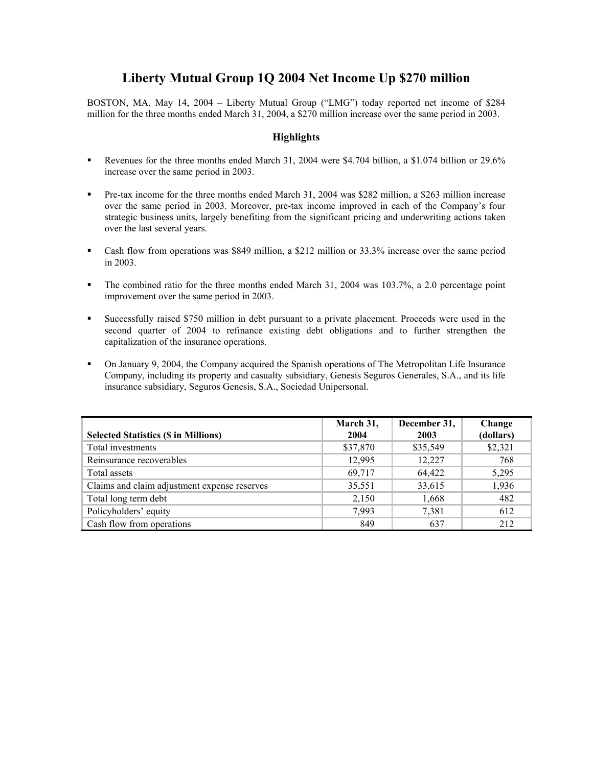## **Liberty Mutual Group 1Q 2004 Net Income Up \$270 million**

BOSTON, MA, May 14, 2004 – Liberty Mutual Group ("LMG") today reported net income of \$284 million for the three months ended March 31, 2004, a \$270 million increase over the same period in 2003.

## **Highlights**

- Revenues for the three months ended March 31, 2004 were \$4.704 billion, a \$1.074 billion or 29.6% increase over the same period in 2003.
- Pre-tax income for the three months ended March 31, 2004 was \$282 million, a \$263 million increase over the same period in 2003. Moreover, pre-tax income improved in each of the Company's four strategic business units, largely benefiting from the significant pricing and underwriting actions taken over the last several years.
- Cash flow from operations was \$849 million, a \$212 million or 33.3% increase over the same period in 2003.
- The combined ratio for the three months ended March 31, 2004 was 103.7%, a 2.0 percentage point improvement over the same period in 2003.
- Successfully raised \$750 million in debt pursuant to a private placement. Proceeds were used in the second quarter of 2004 to refinance existing debt obligations and to further strengthen the capitalization of the insurance operations.
- On January 9, 2004, the Company acquired the Spanish operations of The Metropolitan Life Insurance Company, including its property and casualty subsidiary, Genesis Seguros Generales, S.A., and its life insurance subsidiary, Seguros Genesis, S.A., Sociedad Unipersonal.

| <b>Selected Statistics (\$ in Millions)</b>  | March 31,<br>2004 | December 31,<br>2003 | Change<br>(dollars) |
|----------------------------------------------|-------------------|----------------------|---------------------|
| Total investments                            | \$37,870          | \$35,549             | \$2,321             |
| Reinsurance recoverables                     | 12,995            | 12,227               | 768                 |
| Total assets                                 | 69,717            | 64,422               | 5,295               |
| Claims and claim adjustment expense reserves | 35,551            | 33,615               | 1,936               |
| Total long term debt                         | 2,150             | 1,668                | 482                 |
| Policyholders' equity                        | 7,993             | 7,381                | 612                 |
| Cash flow from operations                    | 849               | 637                  | 212                 |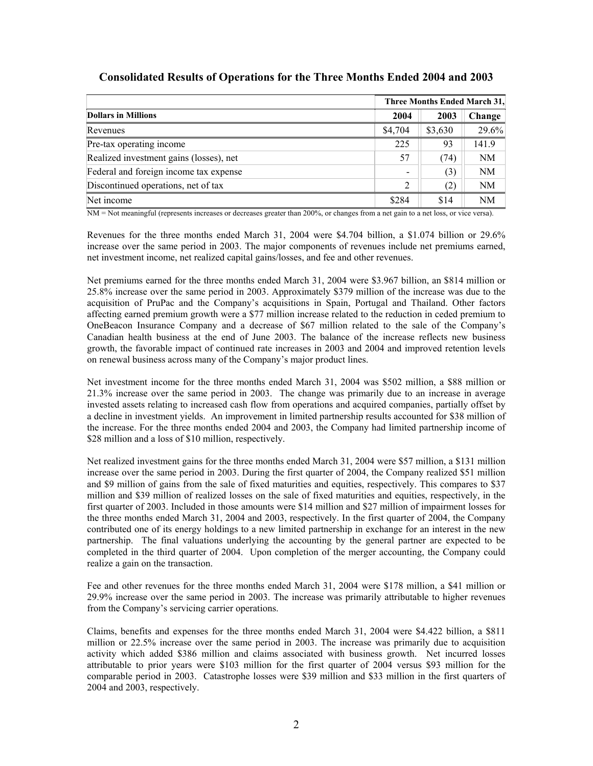|                                         | Three Months Ended March 31. |         |          |
|-----------------------------------------|------------------------------|---------|----------|
| <b>Dollars in Millions</b>              | 2004                         | 2003    | Change   |
| Revenues                                | \$4,704                      | \$3,630 | $29.6\%$ |
| Pre-tax operating income                | 225                          | 93      | 141.9    |
| Realized investment gains (losses), net | 57                           | (74)    | NM       |
| Federal and foreign income tax expense  | -                            | (3)     | NM       |
| Discontinued operations, net of tax     | $\mathcal{L}$                | (2)     | NM       |
| Net income                              | \$284                        | \$14    | NM       |

## **Consolidated Results of Operations for the Three Months Ended 2004 and 2003**

NM = Not meaningful (represents increases or decreases greater than 200%, or changes from a net gain to a net loss, or vice versa).

Revenues for the three months ended March 31, 2004 were \$4.704 billion, a \$1.074 billion or 29.6% increase over the same period in 2003. The major components of revenues include net premiums earned, net investment income, net realized capital gains/losses, and fee and other revenues.

Net premiums earned for the three months ended March 31, 2004 were \$3.967 billion, an \$814 million or 25.8% increase over the same period in 2003. Approximately \$379 million of the increase was due to the acquisition of PruPac and the Company's acquisitions in Spain, Portugal and Thailand. Other factors affecting earned premium growth were a \$77 million increase related to the reduction in ceded premium to OneBeacon Insurance Company and a decrease of \$67 million related to the sale of the Company's Canadian health business at the end of June 2003. The balance of the increase reflects new business growth, the favorable impact of continued rate increases in 2003 and 2004 and improved retention levels on renewal business across many of the Company's major product lines.

Net investment income for the three months ended March 31, 2004 was \$502 million, a \$88 million or 21.3% increase over the same period in 2003. The change was primarily due to an increase in average invested assets relating to increased cash flow from operations and acquired companies, partially offset by a decline in investment yields. An improvement in limited partnership results accounted for \$38 million of the increase. For the three months ended 2004 and 2003, the Company had limited partnership income of \$28 million and a loss of \$10 million, respectively.

Net realized investment gains for the three months ended March 31, 2004 were \$57 million, a \$131 million increase over the same period in 2003. During the first quarter of 2004, the Company realized \$51 million and \$9 million of gains from the sale of fixed maturities and equities, respectively. This compares to \$37 million and \$39 million of realized losses on the sale of fixed maturities and equities, respectively, in the first quarter of 2003. Included in those amounts were \$14 million and \$27 million of impairment losses for the three months ended March 31, 2004 and 2003, respectively. In the first quarter of 2004, the Company contributed one of its energy holdings to a new limited partnership in exchange for an interest in the new partnership. The final valuations underlying the accounting by the general partner are expected to be completed in the third quarter of 2004. Upon completion of the merger accounting, the Company could realize a gain on the transaction.

Fee and other revenues for the three months ended March 31, 2004 were \$178 million, a \$41 million or 29.9% increase over the same period in 2003. The increase was primarily attributable to higher revenues from the Company's servicing carrier operations.

Claims, benefits and expenses for the three months ended March 31, 2004 were \$4.422 billion, a \$811 million or 22.5% increase over the same period in 2003. The increase was primarily due to acquisition activity which added \$386 million and claims associated with business growth. Net incurred losses attributable to prior years were \$103 million for the first quarter of 2004 versus \$93 million for the comparable period in 2003. Catastrophe losses were \$39 million and \$33 million in the first quarters of 2004 and 2003, respectively.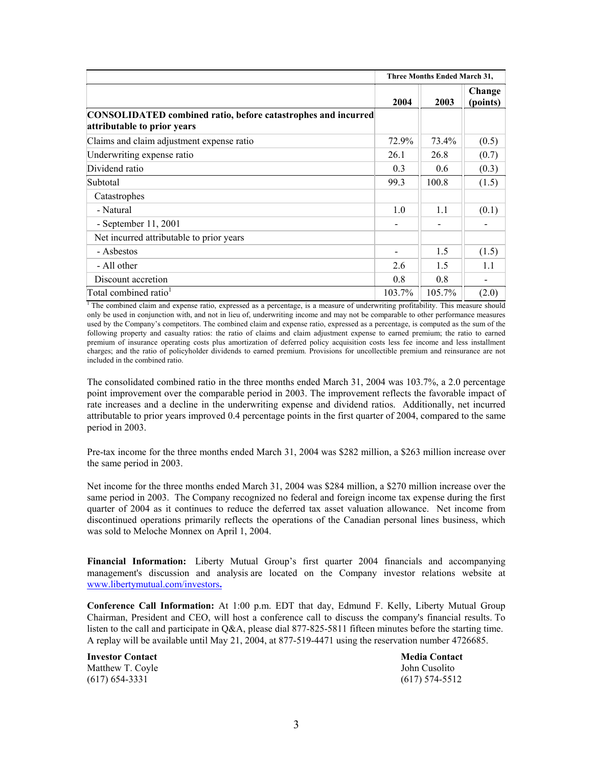|                                                                                              | Three Months Ended March 31, |        |                    |
|----------------------------------------------------------------------------------------------|------------------------------|--------|--------------------|
|                                                                                              | 2004                         | 2003   | Change<br>(points) |
| CONSOLIDATED combined ratio, before catastrophes and incurred<br>attributable to prior years |                              |        |                    |
| Claims and claim adjustment expense ratio                                                    | 72.9%                        | 73.4%  | (0.5)              |
| Underwriting expense ratio                                                                   | 26.1                         | 26.8   | (0.7)              |
| Dividend ratio                                                                               | 0.3                          | 0.6    | (0.3)              |
| Subtotal                                                                                     | 99.3                         | 100.8  | (1.5)              |
| Catastrophes                                                                                 |                              |        |                    |
| - Natural                                                                                    | 1.0                          | 1.1    | (0.1)              |
| - September $11, 2001$                                                                       |                              |        |                    |
| Net incurred attributable to prior years                                                     |                              |        |                    |
| - Asbestos                                                                                   |                              | 1.5    | (1.5)              |
| - All other                                                                                  | 2.6                          | 1.5    | 1.1                |
| Discount accretion                                                                           | 0.8                          | 0.8    |                    |
| Total combined ratio <sup>1</sup>                                                            | 103.7%                       | 105.7% | (2.0)              |

 $<sup>1</sup>$  The combined claim and expense ratio, expressed as a percentage, is a measure of underwriting profitability. This measure should</sup> only be used in conjunction with, and not in lieu of, underwriting income and may not be comparable to other performance measures used by the Company's competitors. The combined claim and expense ratio, expressed as a percentage, is computed as the sum of the following property and casualty ratios: the ratio of claims and claim adjustment expense to earned premium; the ratio to earned premium of insurance operating costs plus amortization of deferred policy acquisition costs less fee income and less installment charges; and the ratio of policyholder dividends to earned premium. Provisions for uncollectible premium and reinsurance are not included in the combined ratio.

The consolidated combined ratio in the three months ended March 31, 2004 was 103.7%, a 2.0 percentage point improvement over the comparable period in 2003. The improvement reflects the favorable impact of rate increases and a decline in the underwriting expense and dividend ratios. Additionally, net incurred attributable to prior years improved 0.4 percentage points in the first quarter of 2004, compared to the same period in 2003.

Pre-tax income for the three months ended March 31, 2004 was \$282 million, a \$263 million increase over the same period in 2003.

Net income for the three months ended March 31, 2004 was \$284 million, a \$270 million increase over the same period in 2003. The Company recognized no federal and foreign income tax expense during the first quarter of 2004 as it continues to reduce the deferred tax asset valuation allowance. Net income from discontinued operations primarily reflects the operations of the Canadian personal lines business, which was sold to Meloche Monnex on April 1, 2004.

**Financial Information:** Liberty Mutual Group's first quarter 2004 financials and accompanying management's discussion and analysis are located on the Company investor relations website at www.libertymutual.com/investors**.**

**Conference Call Information:** At 1:00 p.m. EDT that day, Edmund F. Kelly, Liberty Mutual Group Chairman, President and CEO, will host a conference call to discuss the company's financial results. To listen to the call and participate in Q&A, please dial 877-825-5811 fifteen minutes before the starting time. A replay will be available until May 21, 2004, at 877-519-4471 using the reservation number 4726685.

**Investor Contact Investor Contact Media Contact Media Contact** Matthew T. Coyle John Cusolito (617) 654-3331 (617) 574-5512